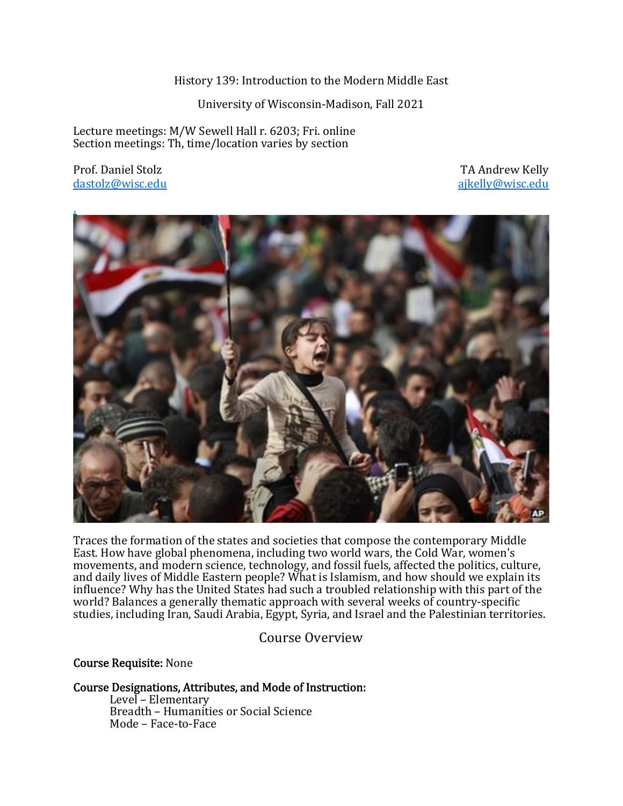History 139: Introduction to the Modern Middle East

University of Wisconsin-Madison, Fall 2021

Lecture meetings: M/W Sewell Hall r. 6203; Fri. online Section meetings: Th, time/location varies by section

Prof. Daniel Stolz **TA** Andrew Kelly dastolz@wisc.edu ajkelly@wisc.edu



Traces the formation of the states and societies that compose the contemporary Middle East. How have global phenomena, including two world wars, the Cold War, women's movements, and modern science, technology, and fossil fuels, affected the politics, culture, and daily lives of Middle Eastern people? What is Islamism, and how should we explain its influence? Why has the United States had such a troubled relationship with this part of the world? Balances a generally thematic approach with several weeks of country-specific studies, including Iran, Saudi Arabia, Egypt, Syria, and Israel and the Palestinian territories.

Course Overview

Course Requisite: None

#### Course Designations, Attributes, and Mode of Instruction:

Level – Elementary Breadth – Humanities or Social Science Mode – Face-to-Face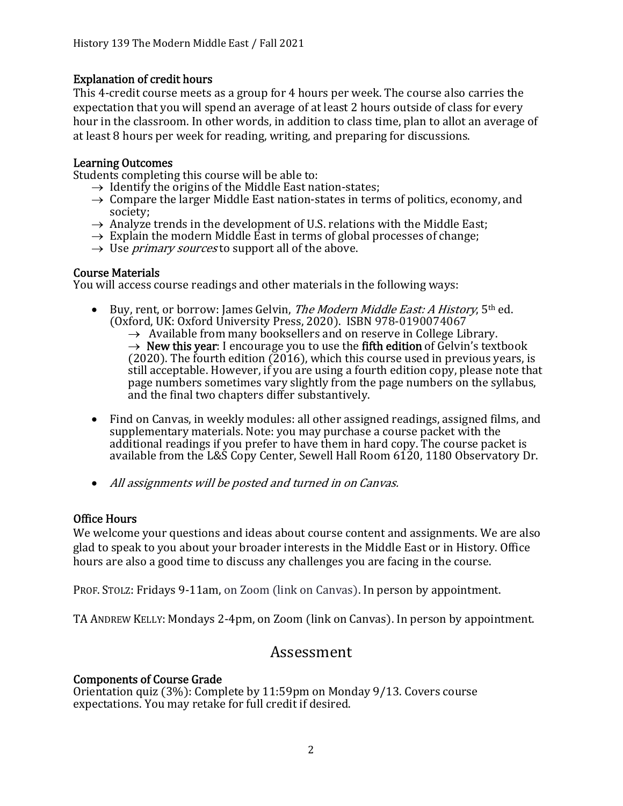#### Explanation of credit hours

This 4-credit course meets as a group for 4 hours per week. The course also carries the expectation that you will spend an average of at least 2 hours outside of class for every hour in the classroom. In other words, in addition to class time, plan to allot an average of at least 8 hours per week for reading, writing, and preparing for discussions.

#### Learning Outcomes

Students completing this course will be able to:

- $\rightarrow$  Identify the origins of the Middle East nation-states;
- $\rightarrow$  Compare the larger Middle East nation-states in terms of politics, economy, and society;
- $\rightarrow$  Analyze trends in the development of U.S. relations with the Middle East;
- $\rightarrow$  Explain the modern Middle East in terms of global processes of change;
- $\rightarrow$  Use *primary sources* to support all of the above.

#### Course Materials

You will access course readings and other materials in the following ways:

- Buy, rent, or borrow: James Gelvin, The Modern Middle East: A History, 5<sup>th</sup> ed. (Oxford, UK: Oxford University Press, 2020). ISBN 978-0190074067
	- $\rightarrow$  Available from many booksellers and on reserve in College Library.

 $\rightarrow$  New this year: I encourage you to use the fifth edition of Gelvin's textbook  $(2020)$ . The fourth edition  $(2016)$ , which this course used in previous years, is still acceptable. However, if you are using a fourth edition copy, please note that page numbers sometimes vary slightly from the page numbers on the syllabus, and the final two chapters differ substantively.

- Find on Canvas, in weekly modules: all other assigned readings, assigned films, and supplementary materials. Note: you may purchase a course packet with the additional readings if you prefer to have them in hard copy. The course packet is available from the L&S Copy Center, Sewell Hall Room 6120, 1180 Observatory Dr.
- All assignments will be posted and turned in on Canvas.

### Office Hours

We welcome your questions and ideas about course content and assignments. We are also glad to speak to you about your broader interests in the Middle East or in History. Office hours are also a good time to discuss any challenges you are facing in the course.

PROF. STOLZ: Fridays 9-11am, on Zoom (link on Canvas). In person by appointment.

TA ANDREW KELLY: Mondays 2-4pm, on Zoom (link on Canvas). In person by appointment.

### Assessment

#### Components of Course Grade

Orientation quiz  $(3\%)$ : Complete by 11:59pm on Monday 9/13. Covers course expectations. You may retake for full credit if desired.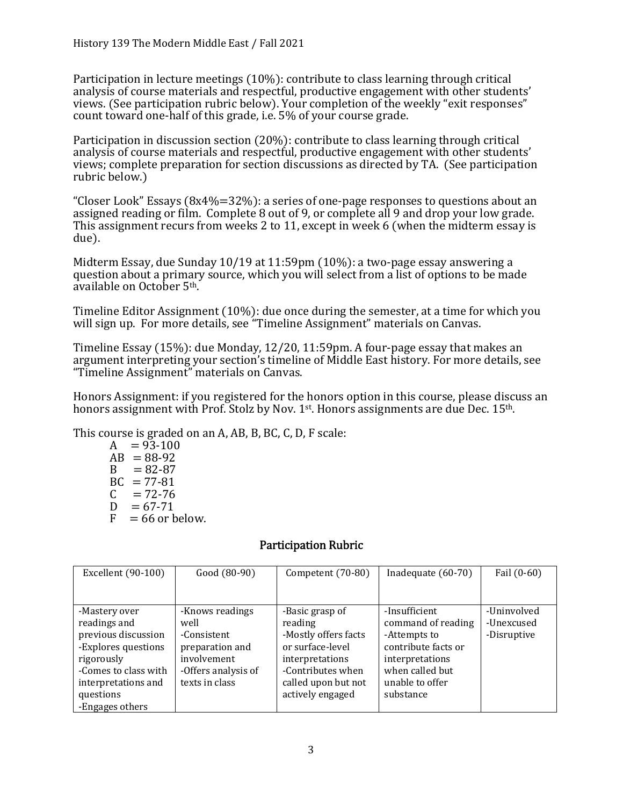Participation in lecture meetings  $(10\%)$ : contribute to class learning through critical analysis of course materials and respectful, productive engagement with other students' views. (See participation rubric below). Your completion of the weekly "exit responses" count toward one-half of this grade, i.e. 5% of your course grade.

Participation in discussion section  $(20%)$ : contribute to class learning through critical analysis of course materials and respectful, productive engagement with other students' views; complete preparation for section discussions as directed by TA. ሺSee participation rubric below.)

"Closer Look" Essays  $(8x4\% = 32\%)$ : a series of one-page responses to questions about an assigned reading or film. Complete 8 out of 9, or complete all 9 and drop your low grade. This assignment recurs from weeks 2 to 11, except in week 6 (when the midterm essay is due).

Midterm Essay, due Sunday 10/19 at 11:59pm (10%): a two-page essay answering a question about a primary source, which you will select from a list of options to be made available on October 5th.

Timeline Editor Assignment  $(10\%)$ : due once during the semester, at a time for which you will sign up. For more details, see "Timeline Assignment" materials on Canvas.

Timeline Essay  $(15\%)$ : due Monday, 12/20, 11:59pm. A four-page essay that makes an argument interpreting your section's timeline of Middle East history. For more details, see "Timeline Assignment" materials on Canvas.

Honors Assignment: if you registered for the honors option in this course, please discuss an honors assignment with Prof. Stolz by Nov. 1<sup>st</sup>. Honors assignments are due Dec. 15<sup>th</sup>.

This course is graded on an A, AB, B, BC, C, D, F scale:

 $A = 93-100$  $AB = 88-92$  $B = 82-87$  $BC = 77-81$  $C = 72-76$  $D = 67 - 71$  $F = 66$  or below.

#### Participation Rubric

| Excellent (90-100)   | Good (80-90)        | Competent (70-80)    | Inadequate (60-70)  | Fail $(0-60)$ |
|----------------------|---------------------|----------------------|---------------------|---------------|
|                      |                     |                      |                     |               |
| -Mastery over        | -Knows readings     | -Basic grasp of      | -Insufficient       | -Uninvolved   |
| readings and         | well                | reading              | command of reading  | -Unexcused    |
| previous discussion  | -Consistent         | -Mostly offers facts | -Attempts to        | -Disruptive   |
| -Explores questions  | preparation and     | or surface-level     | contribute facts or |               |
| rigorously           | involvement         | interpretations      | interpretations     |               |
| -Comes to class with | -Offers analysis of | -Contributes when    | when called but     |               |
| interpretations and  | texts in class      | called upon but not  | unable to offer     |               |
| questions            |                     | actively engaged     | substance           |               |
| -Engages others      |                     |                      |                     |               |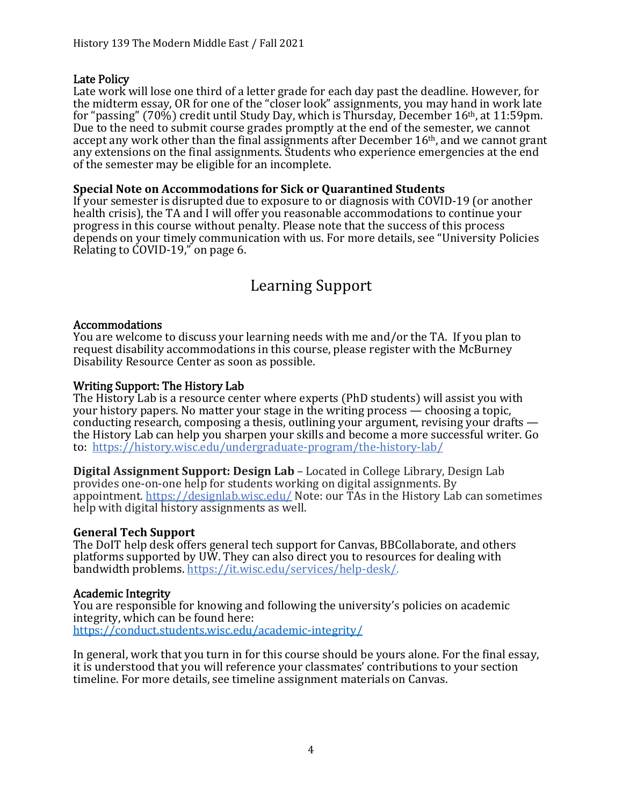#### Late Policy

Late work will lose one third of a letter grade for each day past the deadline. However, for the midterm essay, OR for one of the "closer look" assignments, you may hand in work late for "passing" (70%) credit until Study Day, which is Thursday, December 16<sup>th</sup>, at 11:59pm. Due to the need to submit course grades promptly at the end of the semester, we cannot accept any work other than the final assignments after December 16th, and we cannot grant any extensions on the final assignments. Students who experience emergencies at the end of the semester may be eligible for an incomplete.

#### **Special Note on Accommodations for Sick or Quarantined Students**

If your semester is disrupted due to exposure to or diagnosis with COVID-19 (or another health crisis), the TA and I will offer you reasonable accommodations to continue your progress in this course without penalty. Please note that the success of this process depends on your timely communication with us. For more details, see "University Policies Relating to COVID-19," on page 6.

## Learning Support

#### Accommodations

You are welcome to discuss your learning needs with me and/or the TA. If you plan to request disability accommodations in this course, please register with the McBurney Disability Resource Center as soon as possible.

#### Writing Support: The History Lab

The History Lab is a resource center where experts (PhD students) will assist you with your history papers. No matter your stage in the writing process — choosing a topic, conducting research, composing a thesis, outlining your argument, revising your drafts the History Lab can help you sharpen your skills and become a more successful writer. Go to: https://history.wisc.edu/undergraduate-program/the-history-lab/

**Digital Assignment Support: Design Lab** – Located in College Library, Design Lab provides one-on-one help for students working on digital assignments. By appointment. https://designlab.wisc.edu/ Note: our TAs in the History Lab can sometimes help with digital history assignments as well.

#### **General Tech Support**

The DoIT help desk offers general tech support for Canvas, BBCollaborate, and others platforms supported by UW. They can also direct you to resources for dealing with bandwidth problems. https://it.wisc.edu/services/help-desk/.

#### Academic Integrity

You are responsible for knowing and following the university's policies on academic integrity, which can be found here: https://conduct.students.wisc.edu/academic-integrity/

In general, work that you turn in for this course should be yours alone. For the final essay, it is understood that you will reference your classmates' contributions to your section timeline. For more details, see timeline assignment materials on Canvas.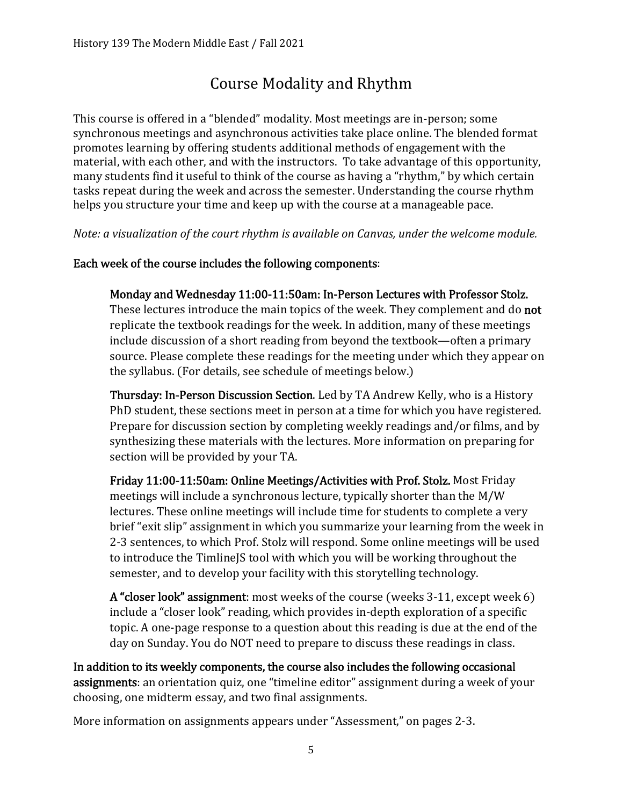## Course Modality and Rhythm

This course is offered in a "blended" modality. Most meetings are in-person; some synchronous meetings and asynchronous activities take place online. The blended format promotes learning by offering students additional methods of engagement with the material, with each other, and with the instructors. To take advantage of this opportunity, many students find it useful to think of the course as having a "rhythm," by which certain tasks repeat during the week and across the semester. Understanding the course rhythm helps you structure your time and keep up with the course at a manageable pace.

*Note: a visualization of the court rhythm is available on Canvas, under the welcome module.* 

### Each week of the course includes the following components:

Monday and Wednesday 11:00-11:50am: In-Person Lectures with Professor Stolz. These lectures introduce the main topics of the week. They complement and do not replicate the textbook readings for the week. In addition, many of these meetings include discussion of a short reading from beyond the textbook—often a primary source. Please complete these readings for the meeting under which they appear on the syllabus. (For details, see schedule of meetings below.)

Thursday: In-Person Discussion Section. Led by TA Andrew Kelly, who is a History PhD student, these sections meet in person at a time for which you have registered. Prepare for discussion section by completing weekly readings and/or films, and by synthesizing these materials with the lectures. More information on preparing for section will be provided by your TA.

Friday 11:00-11:50am: Online Meetings/Activities with Prof. Stolz. Most Friday meetings will include a synchronous lecture, typically shorter than the M/W lectures. These online meetings will include time for students to complete a very brief "exit slip" assignment in which you summarize your learning from the week in 2-3 sentences, to which Prof. Stolz will respond. Some online meetings will be used to introduce the TimlineJS tool with which you will be working throughout the semester, and to develop your facility with this storytelling technology.

A "closer look" assignment: most weeks of the course (weeks 3-11, except week 6) include a "closer look" reading, which provides in-depth exploration of a specific topic. A one-page response to a question about this reading is due at the end of the day on Sunday. You do NOT need to prepare to discuss these readings in class.

In addition to its weekly components, the course also includes the following occasional assignments: an orientation quiz, one "timeline editor" assignment during a week of your choosing, one midterm essay, and two final assignments.

More information on assignments appears under "Assessment," on pages 2-3.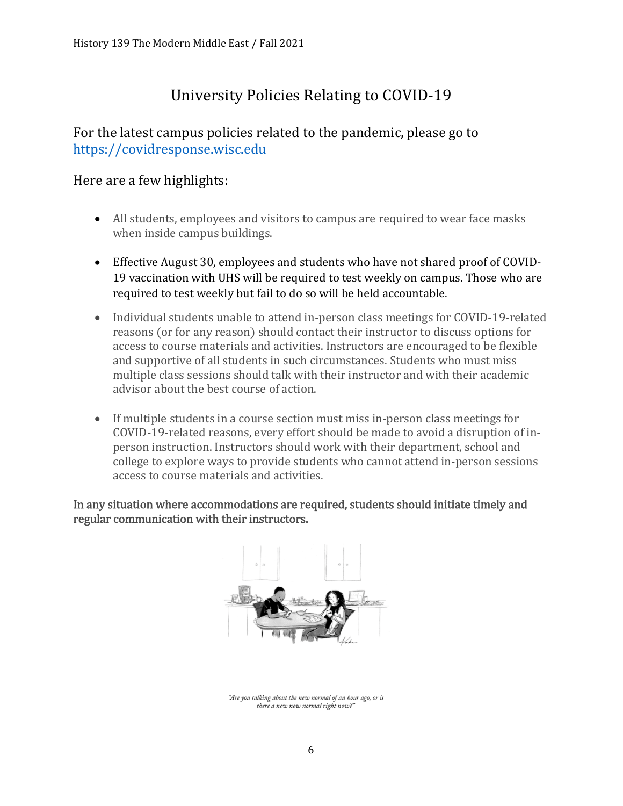## University Policies Relating to COVID-19

### For the latest campus policies related to the pandemic, please go to https://covidresponse.wisc.edu

### Here are a few highlights:

- All students, employees and visitors to campus are required to wear face masks when inside campus buildings.
- Effective August 30, employees and students who have not shared proof of COVID-19 vaccination with UHS will be required to test weekly on campus. Those who are required to test weekly but fail to do so will be held accountable.
- Individual students unable to attend in-person class meetings for COVID-19-related reasons (or for any reason) should contact their instructor to discuss options for access to course materials and activities. Instructors are encouraged to be flexible and supportive of all students in such circumstances. Students who must miss multiple class sessions should talk with their instructor and with their academic advisor about the best course of action.
- If multiple students in a course section must miss in-person class meetings for COVID-19-related reasons, every effort should be made to avoid a disruption of inperson instruction. Instructors should work with their department, school and college to explore ways to provide students who cannot attend in-person sessions access to course materials and activities.

In any situation where accommodations are required, students should initiate timely and regular communication with their instructors.



<sup>&</sup>quot;Are you talking about the new normal of an hour ago, or is there a new new normal right now?"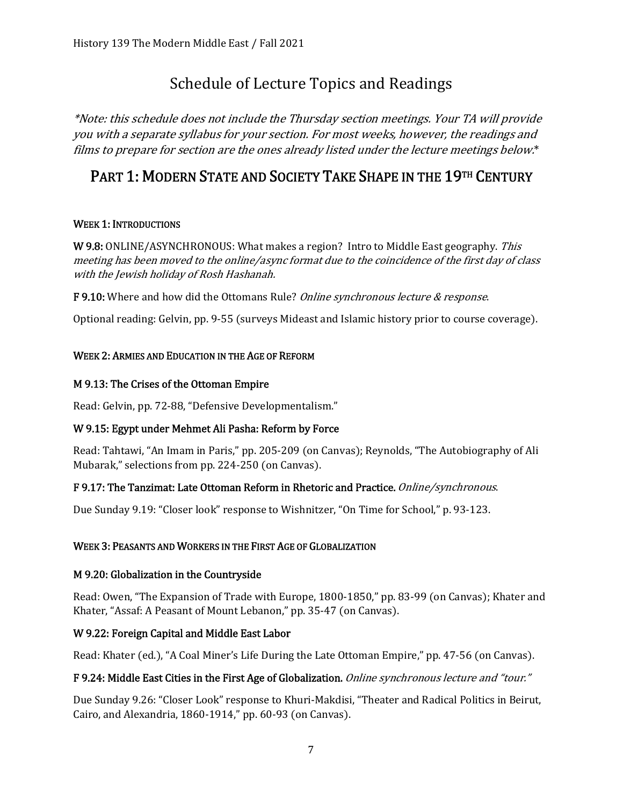## Schedule of Lecture Topics and Readings

\*Note: this schedule does not include the Thursday section meetings. Your TA will provide you with a separate syllabus for your section. For most weeks, however, the readings and films to prepare for section are the ones already listed under the lecture meetings below.\*

## PART 1: MODERN STATE AND SOCIETY TAKE SHAPE IN THE 19TH CENTURY

#### WEEK 1: INTRODUCTIONS

W 9.8: ONLINE/ASYNCHRONOUS: What makes a region? Intro to Middle East geography. This meeting has been moved to the online/async format due to the coincidence of the first day of class with the Jewish holiday of Rosh Hashanah.

F 9.10: Where and how did the Ottomans Rule? Online synchronous lecture & response.

Optional reading: Gelvin, pp. 9-55 (surveys Mideast and Islamic history prior to course coverage).

#### WEEK 2: ARMIES AND EDUCATION IN THE AGE OF REFORM

#### M 9.13: The Crises of the Ottoman Empire

Read: Gelvin, pp. 72-88, "Defensive Developmentalism."

#### W 9.15: Egypt under Mehmet Ali Pasha: Reform by Force

Read: Tahtawi, "An Imam in Paris," pp. 205-209 (on Canvas); Reynolds, "The Autobiography of Ali Mubarak," selections from pp. 224-250 (on Canvas).

#### F 9.17: The Tanzimat: Late Ottoman Reform in Rhetoric and Practice. Online/synchronous.

Due Sunday 9.19: "Closer look" response to Wishnitzer, "On Time for School," p. 93-123.

#### WEEK 3: PEASANTS AND WORKERS IN THE FIRST AGE OF GLOBALIZATION

#### M 9.20: Globalization in the Countryside

Read: Owen, "The Expansion of Trade with Europe, 1800-1850," pp. 83-99 (on Canvas); Khater and Khater, "Assaf: A Peasant of Mount Lebanon," pp. 35-47 (on Canvas).

#### W 9.22: Foreign Capital and Middle East Labor

Read: Khater (ed.), "A Coal Miner's Life During the Late Ottoman Empire," pp. 47-56 (on Canvas).

#### F 9.24: Middle East Cities in the First Age of Globalization. Online synchronous lecture and "tour."

Due Sunday 9.26: "Closer Look" response to Khuri-Makdisi, "Theater and Radical Politics in Beirut, Cairo, and Alexandria, 1860-1914," pp. 60-93 (on Canvas).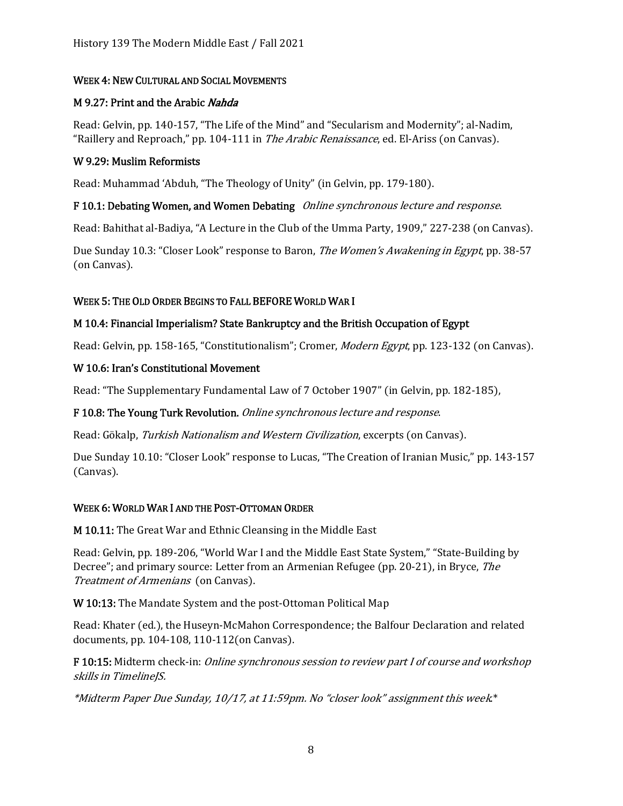#### WEEK 4: NEW CULTURAL AND SOCIAL MOVEMENTS

#### M 9.27: Print and the Arabic Nahda

Read: Gelvin, pp. 140-157, "The Life of the Mind" and "Secularism and Modernity"; al-Nadim, "Raillery and Reproach," pp. 104-111 in *The Arabic Renaissance*, ed. El-Ariss (on Canvas).

#### W 9.29: Muslim Reformists

Read: Muhammad 'Abduh, "The Theology of Unity" (in Gelvin, pp. 179-180).

#### F 10.1: Debating Women, and Women Debating Online synchronous lecture and response.

Read: Bahithat al-Badiya, "A Lecture in the Club of the Umma Party, 1909," 227-238 (on Canvas).

Due Sunday 10.3: "Closer Look" response to Baron, The Women's Awakening in Egypt, pp. 38-57 (on Canvas).

#### WEEK 5: THE OLD ORDER BEGINS TO FALL BEFORE WORLD WAR I

#### M 10.4: Financial Imperialism? State Bankruptcy and the British Occupation of Egypt

Read: Gelvin, pp. 158-165, "Constitutionalism"; Cromer, Modern Egypt, pp. 123-132 (on Canvas).

#### W 10.6: Iran's Constitutional Movement

Read: "The Supplementary Fundamental Law of 7 October 1907" (in Gelvin, pp. 182-185),

F 10.8: The Young Turk Revolution. Online synchronous lecture and response.

Read: Gökalp, Turkish Nationalism and Western Civilization, excerpts (on Canvas).

Due Sunday 10.10: "Closer Look" response to Lucas, "The Creation of Iranian Music," pp. 143-157 (Canvas).

#### WEEK 6: WORLD WAR I AND THE POST-OTTOMAN ORDER

M 10.11: The Great War and Ethnic Cleansing in the Middle East

Read: Gelvin, pp. 189-206, "World War I and the Middle East State System," "State-Building by Decree"; and primary source: Letter from an Armenian Refugee (pp. 20-21), in Bryce, The Treatment of Armenians (on Canvas).

W 10:13: The Mandate System and the post-Ottoman Political Map

Read: Khater (ed.), the Huseyn-McMahon Correspondence; the Balfour Declaration and related documents, pp.  $104-108$ ,  $110-112$  (on Canvas).

F 10:15: Midterm check-in: *Online synchronous session to review part I of course and workshop* skills in TimelineJS.

\*Midterm Paper Due Sunday, 10/17, at 11:59pm. No "closer look" assignment this week.\*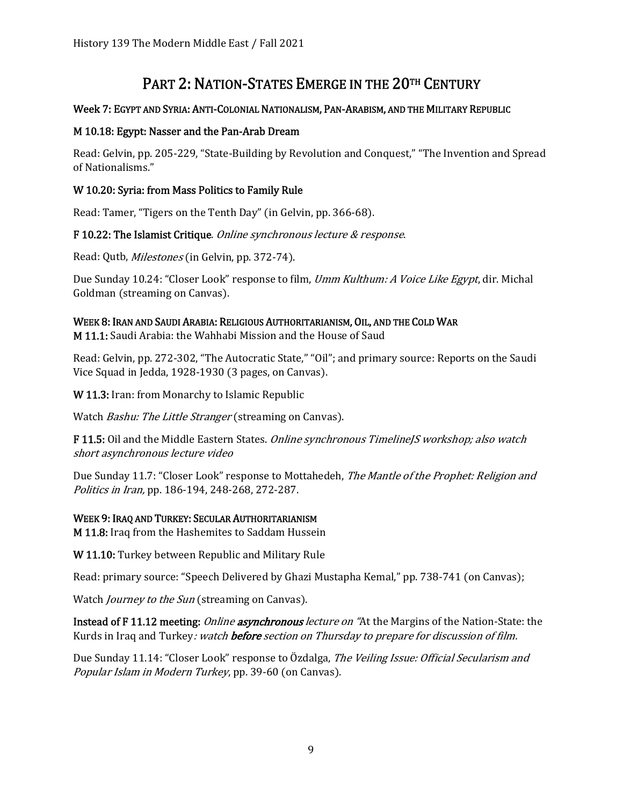## PART 2: NATION-STATES EMERGE IN THE 20TH CENTURY

#### Week 7: EGYPT AND SYRIA: ANTI-COLONIAL NATIONALISM, PAN-ARABISM, AND THE MILITARY REPUBLIC

#### M 10.18: Egypt: Nasser and the Pan-Arab Dream

Read: Gelvin, pp. 205-229, "State-Building by Revolution and Conquest," "The Invention and Spread of Nationalisms."

#### W 10.20: Syria: from Mass Politics to Family Rule

Read: Tamer, "Tigers on the Tenth Day" (in Gelvin, pp. 366-68).

F 10.22: The Islamist Critique. Online synchronous lecture & response.

Read: Qutb, Milestones (in Gelvin, pp. 372-74).

Due Sunday 10.24: "Closer Look" response to film, Umm Kulthum: A Voice Like Egypt, dir. Michal Goldman (streaming on Canvas).

WEEK 8: IRAN AND SAUDI ARABIA: RELIGIOUS AUTHORITARIANISM, OIL, AND THE COLD WAR

M 11.1: Saudi Arabia: the Wahhabi Mission and the House of Saud

Read: Gelvin, pp. 272-302, "The Autocratic State," "Oil"; and primary source: Reports on the Saudi Vice Squad in Jedda, 1928-1930 (3 pages, on Canvas).

W 11.3: Iran: from Monarchy to Islamic Republic

Watch Bashu: The Little Stranger (streaming on Canvas).

F 11.5: Oil and the Middle Eastern States. Online synchronous TimelineJS workshop; also watch short asynchronous lecture video

Due Sunday 11.7: "Closer Look" response to Mottahedeh, The Mantle of the Prophet: Religion and Politics in Iran, pp. 186-194, 248-268, 272-287.

#### WEEK 9: IRAQ AND TURKEY: SECULAR AUTHORITARIANISM

M 11.8: Iraq from the Hashemites to Saddam Hussein

W 11.10: Turkey between Republic and Military Rule

Read: primary source: "Speech Delivered by Ghazi Mustapha Kemal," pp. 738-741 (on Canvas);

Watch *Journey to the Sun* (streaming on Canvas).

Instead of F 11.12 meeting: *Online asynchronous lecture on* "At the Margins of the Nation-State: the Kurds in Iraq and Turkey: watch **before** section on Thursday to prepare for discussion of film.

Due Sunday 11.14: "Closer Look" response to Özdalga, The Veiling Issue: Official Secularism and Popular Islam in Modern Turkey, pp. 39-60 (on Canvas).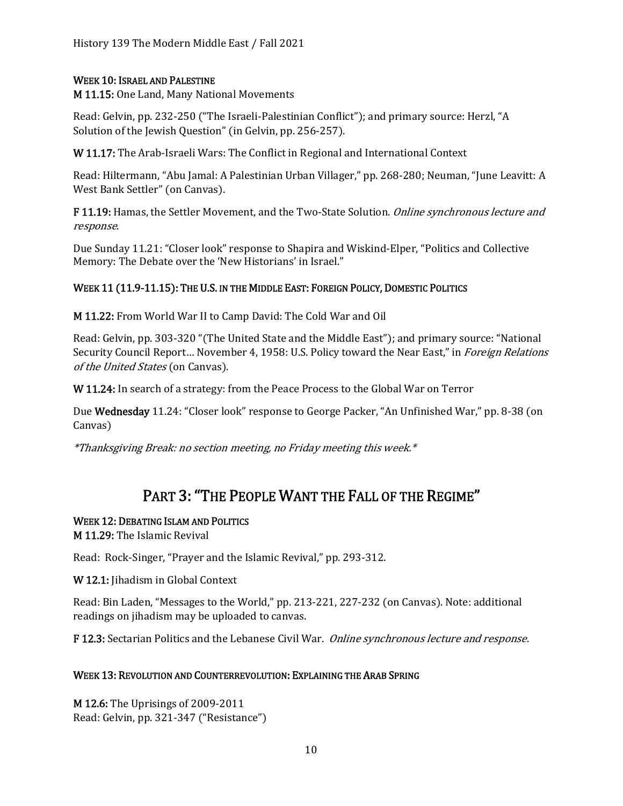#### WEEK 10: ISRAEL AND PALESTINE

M 11.15: One Land, Many National Movements

Read: Gelvin, pp. 232-250 ("The Israeli-Palestinian Conflict"); and primary source: Herzl, "A Solution of the Jewish Question" (in Gelvin, pp. 256-257).

W 11.17: The Arab-Israeli Wars: The Conflict in Regional and International Context

Read: Hiltermann, "Abu Jamal: A Palestinian Urban Villager," pp. 268-280; Neuman, "June Leavitt: A West Bank Settler" (on Canvas).

F 11.19: Hamas, the Settler Movement, and the Two-State Solution. Online synchronous lecture and response.

Due Sunday 11.21: "Closer look" response to Shapira and Wiskind-Elper, "Politics and Collective Memory: The Debate over the 'New Historians' in Israel."

#### WEEK 11 (11.9-11.15): THE U.S. IN THE MIDDLE EAST: FOREIGN POLICY, DOMESTIC POLITICS

M 11.22: From World War II to Camp David: The Cold War and Oil

Read: Gelvin, pp. 303-320 "(The United State and the Middle East"); and primary source: "National Security Council Report... November 4, 1958: U.S. Policy toward the Near East," in Foreign Relations of the United States (on Canvas).

W 11.24: In search of a strategy: from the Peace Process to the Global War on Terror

Due Wednesday 11.24: "Closer look" response to George Packer, "An Unfinished War," pp. 8-38 (on Canvas)

\*Thanksgiving Break: no section meeting, no Friday meeting this week.\*

### PART 3: "THE PEOPLE WANT THE FALL OF THE REGIME"

# WEEK 12: DEBATING ISLAM AND POLITICS<br>M 11.29: The Islamic Revival

Read: Rock-Singer, "Prayer and the Islamic Revival," pp. 293-312.

W 12.1: Jihadism in Global Context

Read: Bin Laden, "Messages to the World," pp. 213-221, 227-232 (on Canvas). Note: additional readings on jihadism may be uploaded to canvas.

F 12.3: Sectarian Politics and the Lebanese Civil War. *Online synchronous lecture and response*.

#### WEEK 13: REVOLUTION AND COUNTERREVOLUTION: EXPLAINING THE ARAB SPRING

M 12.6: The Uprisings of 2009-2011 Read: Gelvin, pp. 321-347 ("Resistance")